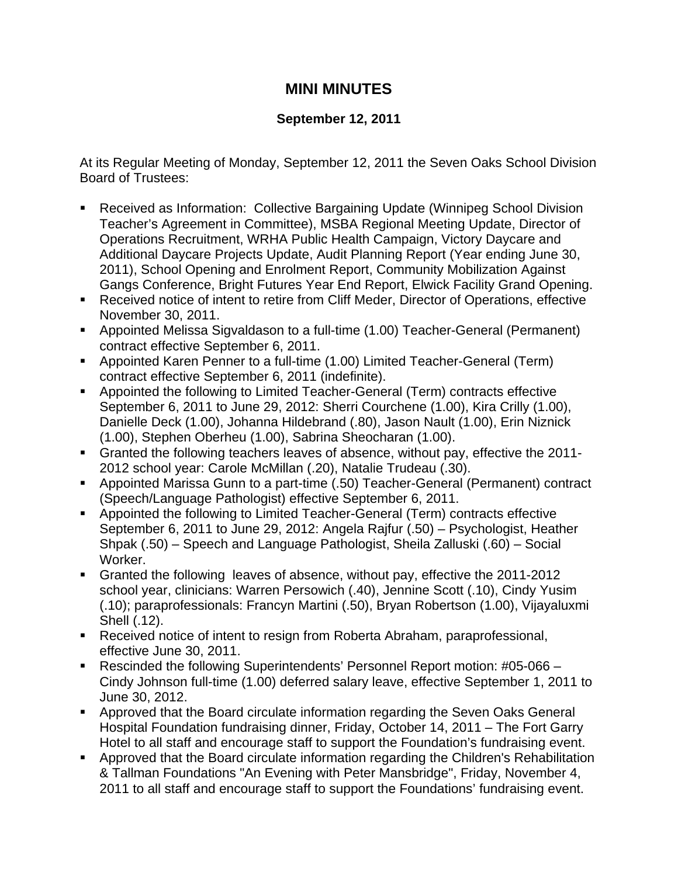## **MINI MINUTES**

## **September 12, 2011**

At its Regular Meeting of Monday, September 12, 2011 the Seven Oaks School Division Board of Trustees:

- Received as Information: Collective Bargaining Update (Winnipeg School Division Teacher's Agreement in Committee), MSBA Regional Meeting Update, Director of Operations Recruitment, WRHA Public Health Campaign, Victory Daycare and Additional Daycare Projects Update, Audit Planning Report (Year ending June 30, 2011), School Opening and Enrolment Report, Community Mobilization Against Gangs Conference, Bright Futures Year End Report, Elwick Facility Grand Opening.
- Received notice of intent to retire from Cliff Meder, Director of Operations, effective November 30, 2011.
- Appointed Melissa Sigvaldason to a full-time (1.00) Teacher-General (Permanent) contract effective September 6, 2011.
- Appointed Karen Penner to a full-time (1.00) Limited Teacher-General (Term) contract effective September 6, 2011 (indefinite).
- Appointed the following to Limited Teacher-General (Term) contracts effective September 6, 2011 to June 29, 2012: Sherri Courchene (1.00), Kira Crilly (1.00), Danielle Deck (1.00), Johanna Hildebrand (.80), Jason Nault (1.00), Erin Niznick (1.00), Stephen Oberheu (1.00), Sabrina Sheocharan (1.00).
- Granted the following teachers leaves of absence, without pay, effective the 2011- 2012 school year: Carole McMillan (.20), Natalie Trudeau (.30).
- Appointed Marissa Gunn to a part-time (.50) Teacher-General (Permanent) contract (Speech/Language Pathologist) effective September 6, 2011.
- Appointed the following to Limited Teacher-General (Term) contracts effective September 6, 2011 to June 29, 2012: Angela Rajfur (.50) – Psychologist, Heather Shpak (.50) – Speech and Language Pathologist, Sheila Zalluski (.60) – Social Worker.
- Granted the following leaves of absence, without pay, effective the 2011-2012 school year, clinicians: Warren Persowich (.40), Jennine Scott (.10), Cindy Yusim (.10); paraprofessionals: Francyn Martini (.50), Bryan Robertson (1.00), Vijayaluxmi Shell (.12).
- Received notice of intent to resign from Roberta Abraham, paraprofessional, effective June 30, 2011.
- Rescinded the following Superintendents' Personnel Report motion: #05-066 Cindy Johnson full-time (1.00) deferred salary leave, effective September 1, 2011 to June 30, 2012.
- Approved that the Board circulate information regarding the Seven Oaks General Hospital Foundation fundraising dinner, Friday, October 14, 2011 – The Fort Garry Hotel to all staff and encourage staff to support the Foundation's fundraising event.
- Approved that the Board circulate information regarding the Children's Rehabilitation & Tallman Foundations "An Evening with Peter Mansbridge", Friday, November 4, 2011 to all staff and encourage staff to support the Foundations' fundraising event.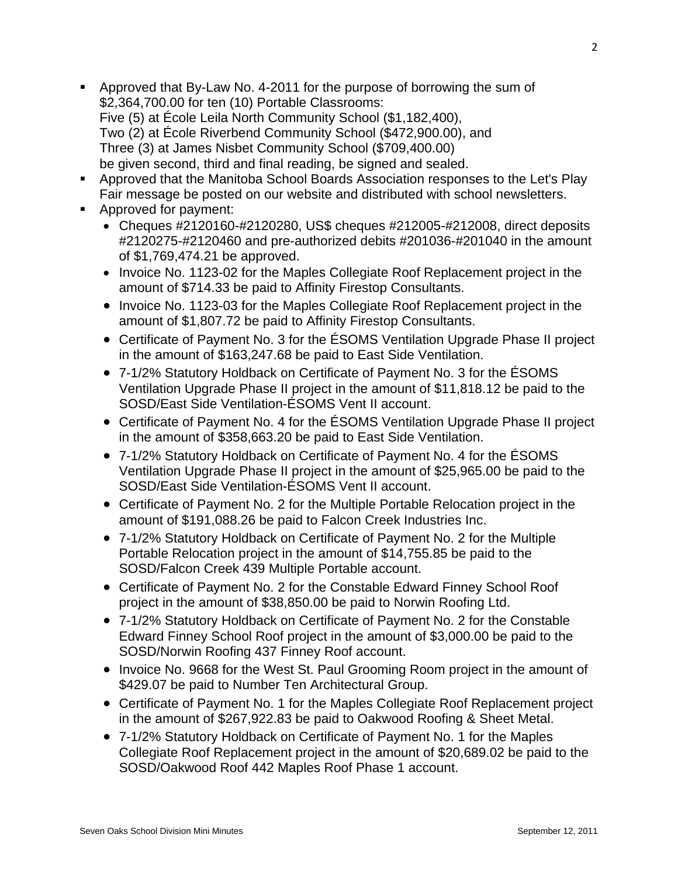- Approved that By-Law No. 4-2011 for the purpose of borrowing the sum of \$2,364,700.00 for ten (10) Portable Classrooms: Five (5) at École Leila North Community School (\$1,182,400), Two (2) at École Riverbend Community School (\$472,900.00), and Three (3) at James Nisbet Community School (\$709,400.00) be given second, third and final reading, be signed and sealed.
- Approved that the Manitoba School Boards Association responses to the Let's Play Fair message be posted on our website and distributed with school newsletters.
- **Approved for payment:** 
	- Cheques #2120160-#2120280, US\$ cheques #212005-#212008, direct deposits #2120275-#2120460 and pre-authorized debits #201036-#201040 in the amount of \$1,769,474.21 be approved.
	- Invoice No. 1123-02 for the Maples Collegiate Roof Replacement project in the amount of \$714.33 be paid to Affinity Firestop Consultants.
	- Invoice No. 1123-03 for the Maples Collegiate Roof Replacement project in the amount of \$1,807.72 be paid to Affinity Firestop Consultants.
	- Certificate of Payment No. 3 for the ESOMS Ventilation Upgrade Phase II project in the amount of \$163,247.68 be paid to East Side Ventilation.
	- 7-1/2% Statutory Holdback on Certificate of Payment No. 3 for the ÉSOMS Ventilation Upgrade Phase II project in the amount of \$11,818.12 be paid to the SOSD/East Side Ventilation-ÉSOMS Vent II account.
	- Certificate of Payment No. 4 for the ÉSOMS Ventilation Upgrade Phase II project in the amount of \$358,663.20 be paid to East Side Ventilation.
	- 7-1/2% Statutory Holdback on Certificate of Payment No. 4 for the ÉSOMS Ventilation Upgrade Phase II project in the amount of \$25,965.00 be paid to the SOSD/East Side Ventilation-ÉSOMS Vent II account.
	- Certificate of Payment No. 2 for the Multiple Portable Relocation project in the amount of \$191,088.26 be paid to Falcon Creek Industries Inc.
	- 7-1/2% Statutory Holdback on Certificate of Payment No. 2 for the Multiple Portable Relocation project in the amount of \$14,755.85 be paid to the SOSD/Falcon Creek 439 Multiple Portable account.
	- Certificate of Payment No. 2 for the Constable Edward Finney School Roof project in the amount of \$38,850.00 be paid to Norwin Roofing Ltd.
	- 7-1/2% Statutory Holdback on Certificate of Payment No. 2 for the Constable Edward Finney School Roof project in the amount of \$3,000.00 be paid to the SOSD/Norwin Roofing 437 Finney Roof account.
	- Invoice No. 9668 for the West St. Paul Grooming Room project in the amount of \$429.07 be paid to Number Ten Architectural Group.
	- Certificate of Payment No. 1 for the Maples Collegiate Roof Replacement project in the amount of \$267,922.83 be paid to Oakwood Roofing & Sheet Metal.
	- 7-1/2% Statutory Holdback on Certificate of Payment No. 1 for the Maples Collegiate Roof Replacement project in the amount of \$20,689.02 be paid to the SOSD/Oakwood Roof 442 Maples Roof Phase 1 account.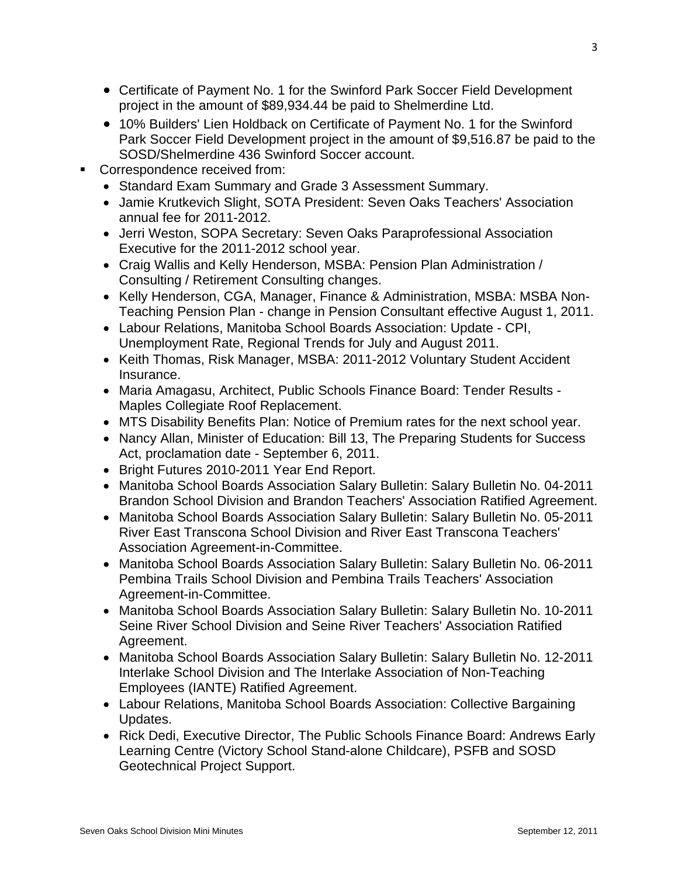- Certificate of Payment No. 1 for the Swinford Park Soccer Field Development project in the amount of \$89,934.44 be paid to Shelmerdine Ltd.
- 10% Builders' Lien Holdback on Certificate of Payment No. 1 for the Swinford Park Soccer Field Development project in the amount of \$9,516.87 be paid to the SOSD/Shelmerdine 436 Swinford Soccer account.
- Correspondence received from:
	- Standard Exam Summary and Grade 3 Assessment Summary.
	- Jamie Krutkevich Slight, SOTA President: Seven Oaks Teachers' Association annual fee for 2011-2012.
	- Jerri Weston, SOPA Secretary: Seven Oaks Paraprofessional Association Executive for the 2011-2012 school year.
	- Craig Wallis and Kelly Henderson, MSBA: Pension Plan Administration / Consulting / Retirement Consulting changes.
	- Kelly Henderson, CGA, Manager, Finance & Administration, MSBA: MSBA Non-Teaching Pension Plan - change in Pension Consultant effective August 1, 2011.
	- Labour Relations, Manitoba School Boards Association: Update CPI, Unemployment Rate, Regional Trends for July and August 2011.
	- Keith Thomas, Risk Manager, MSBA: 2011-2012 Voluntary Student Accident Insurance.
	- Maria Amagasu, Architect, Public Schools Finance Board: Tender Results Maples Collegiate Roof Replacement.
	- MTS Disability Benefits Plan: Notice of Premium rates for the next school year.
	- Nancy Allan, Minister of Education: Bill 13, The Preparing Students for Success Act, proclamation date - September 6, 2011.
	- Bright Futures 2010-2011 Year End Report.
	- Manitoba School Boards Association Salary Bulletin: Salary Bulletin No. 04-2011 Brandon School Division and Brandon Teachers' Association Ratified Agreement.
	- Manitoba School Boards Association Salary Bulletin: Salary Bulletin No. 05-2011 River East Transcona School Division and River East Transcona Teachers' Association Agreement-in-Committee.
	- Manitoba School Boards Association Salary Bulletin: Salary Bulletin No. 06-2011 Pembina Trails School Division and Pembina Trails Teachers' Association Agreement-in-Committee.
	- Manitoba School Boards Association Salary Bulletin: Salary Bulletin No. 10-2011 Seine River School Division and Seine River Teachers' Association Ratified Agreement.
	- Manitoba School Boards Association Salary Bulletin: Salary Bulletin No. 12-2011 Interlake School Division and The Interlake Association of Non-Teaching Employees (IANTE) Ratified Agreement.
	- Labour Relations, Manitoba School Boards Association: Collective Bargaining Updates.
	- Rick Dedi, Executive Director, The Public Schools Finance Board: Andrews Early Learning Centre (Victory School Stand-alone Childcare), PSFB and SOSD Geotechnical Project Support.